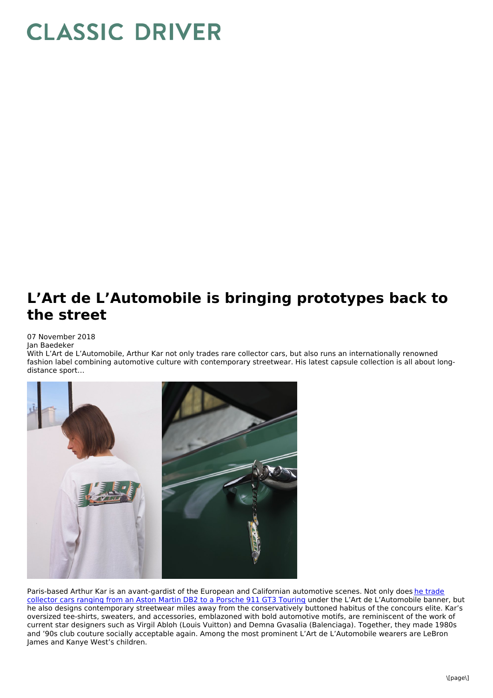## **CLASSIC DRIVER**

## **L'Art de L'Automobile is bringing prototypes back to the street**

## 07 November 2018

Jan Baedeker

With L'Art de L'Automobile, Arthur Kar not only trades rare collector cars, but also runs an internationally renowned fashion label combining automotive culture with contemporary streetwear. His latest capsule collection is all about longdistance sport…



Paris-based Arthur Kar is an [avant-gardist](https://www.classicdriver.com/en/article/cars/breaking-barriers-collector-car-world-lart-de-lautomobile) of the European and Californian automotive scenes. Not only does he trade collector cars ranging from an Aston Martin DB2 to a Porsche 911 GT3 Touring under the L'Art de L'Automobile banner, but he also designs contemporary streetwear miles away from the conservatively buttoned habitus of the concours elite. Kar's oversized tee-shirts, sweaters, and accessories, emblazoned with bold automotive motifs, are reminiscent of the work of current star designers such as Virgil Abloh (Louis Vuitton) and Demna Gvasalia (Balenciaga). Together, they made 1980s and '90s club couture socially acceptable again. Among the most prominent L'Art de L'Automobile wearers are LeBron James and Kanye West's children.